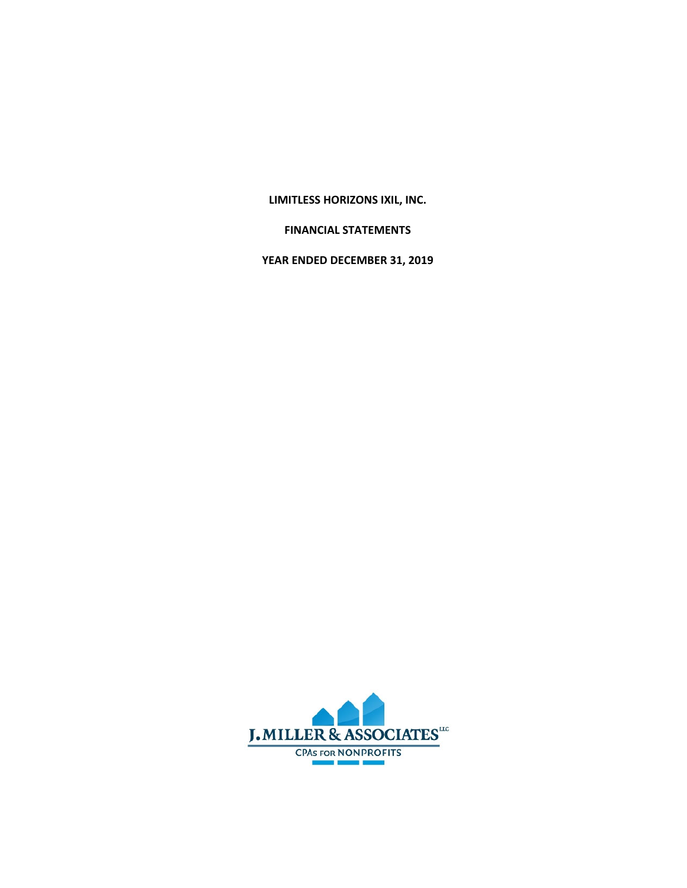**LIMITLESS HORIZONS IXIL, INC.**

# **FINANCIAL STATEMENTS**

**YEAR ENDED DECEMBER 31, 2019** 

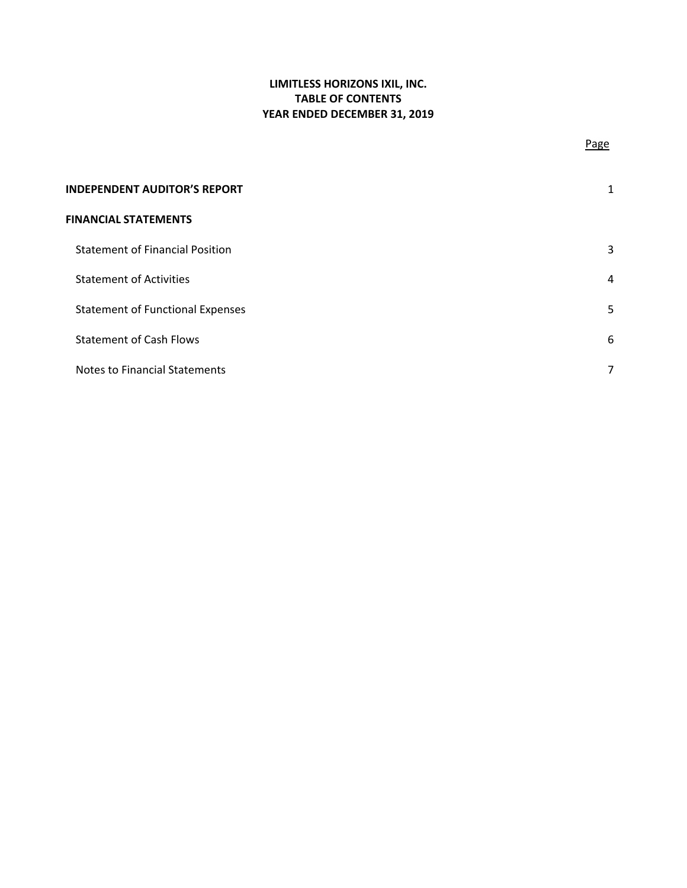# **LIMITLESS HORIZONS IXIL, INC. TABLE OF CONTENTS YEAR ENDED DECEMBER 31, 2019**

and the contract of the contract of the contract of the contract of the contract of the contract of the contract of the contract of the contract of the contract of the contract of the contract of the contract of the contra

| <b>INDEPENDENT AUDITOR'S REPORT</b>     |   |
|-----------------------------------------|---|
| <b>FINANCIAL STATEMENTS</b>             |   |
| <b>Statement of Financial Position</b>  | 3 |
| <b>Statement of Activities</b>          | 4 |
| <b>Statement of Functional Expenses</b> | 5 |
| <b>Statement of Cash Flows</b>          | 6 |
| Notes to Financial Statements           |   |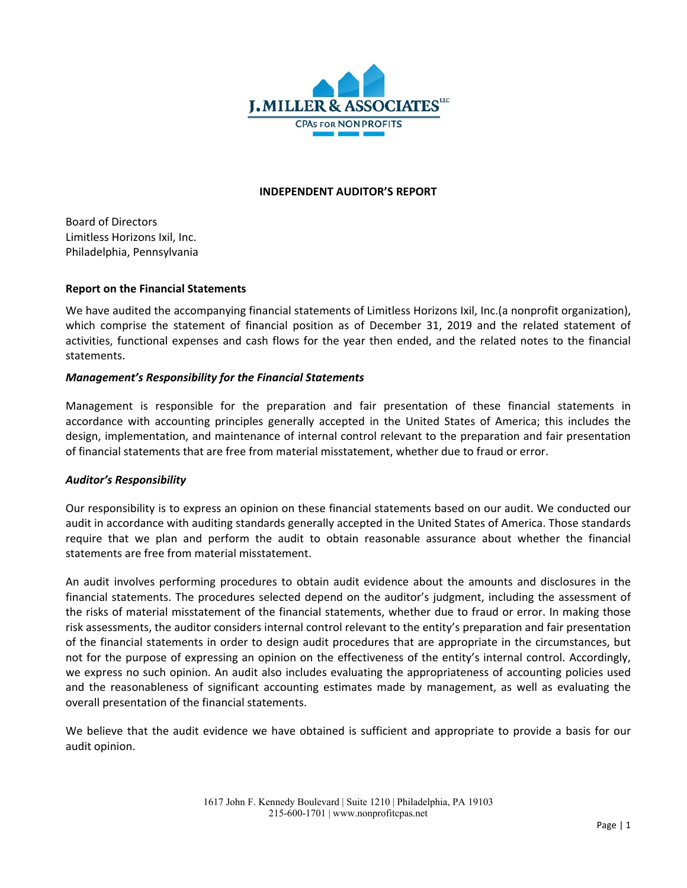

#### **INDEPENDENT AUDITOR'S REPORT**

Board of Directors Limitless Horizons Ixil, Inc. Philadelphia, Pennsylvania

#### **Report on the Financial Statements**

We have audited the accompanying financial statements of Limitless Horizons Ixil, Inc. (a nonprofit organization), which comprise the statement of financial position as of December 31, 2019 and the related statement of activities, functional expenses and cash flows for the year then ended, and the related notes to the financial statements.

#### *Management's Responsibility for the Financial Statements*

Management is responsible for the preparation and fair presentation of these financial statements in accordance with accounting principles generally accepted in the United States of America; this includes the design, implementation, and maintenance of internal control relevant to the preparation and fair presentation of financial statements that are free from material misstatement, whether due to fraud or error.

#### *Auditor's Responsibility*

Our responsibility is to express an opinion on these financial statements based on our audit. We conducted our audit in accordance with auditing standards generally accepted in the United States of America. Those standards require that we plan and perform the audit to obtain reasonable assurance about whether the financial statements are free from material misstatement.

An audit involves performing procedures to obtain audit evidence about the amounts and disclosures in the financial statements. The procedures selected depend on the auditor's judgment, including the assessment of the risks of material misstatement of the financial statements, whether due to fraud or error. In making those risk assessments, the auditor considers internal control relevant to the entity's preparation and fair presentation of the financial statements in order to design audit procedures that are appropriate in the circumstances, but not for the purpose of expressing an opinion on the effectiveness of the entity's internal control. Accordingly, we express no such opinion. An audit also includes evaluating the appropriateness of accounting policies used and the reasonableness of significant accounting estimates made by management, as well as evaluating the overall presentation of the financial statements.

We believe that the audit evidence we have obtained is sufficient and appropriate to provide a basis for our audit opinion.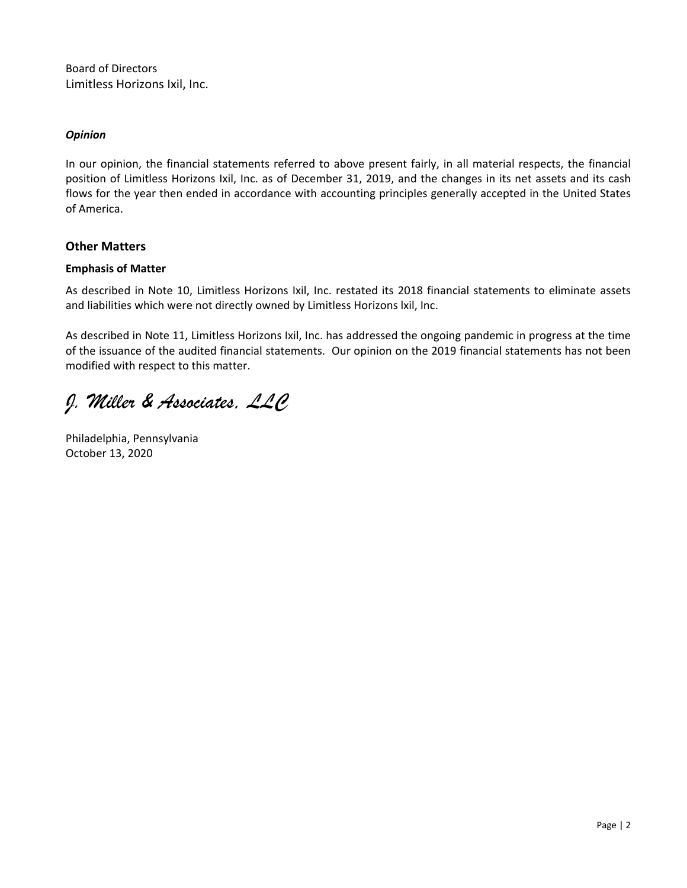Board of Directors Limitless Horizons Ixil, Inc.

## *Opinion*

In our opinion, the financial statements referred to above present fairly, in all material respects, the financial position of Limitless Horizons Ixil, Inc. as of December 31, 2019, and the changes in its net assets and its cash flows for the year then ended in accordance with accounting principles generally accepted in the United States of America.

# **Other Matters**

#### **Emphasis of Matter**

As described in Note 10, Limitless Horizons Ixil, Inc. restated its 2018 financial statements to eliminate assets and liabilities which were not directly owned by Limitless Horizons lxil, Inc.

As described in Note 11, Limitless Horizons Ixil, Inc. has addressed the ongoing pandemic in progress at the time of the issuance of the audited financial statements. Our opinion on the 2019 financial statements has not been modified with respect to this matter.

*J. Miller & Associates, LLC* 

Philadelphia, Pennsylvania October 13, 2020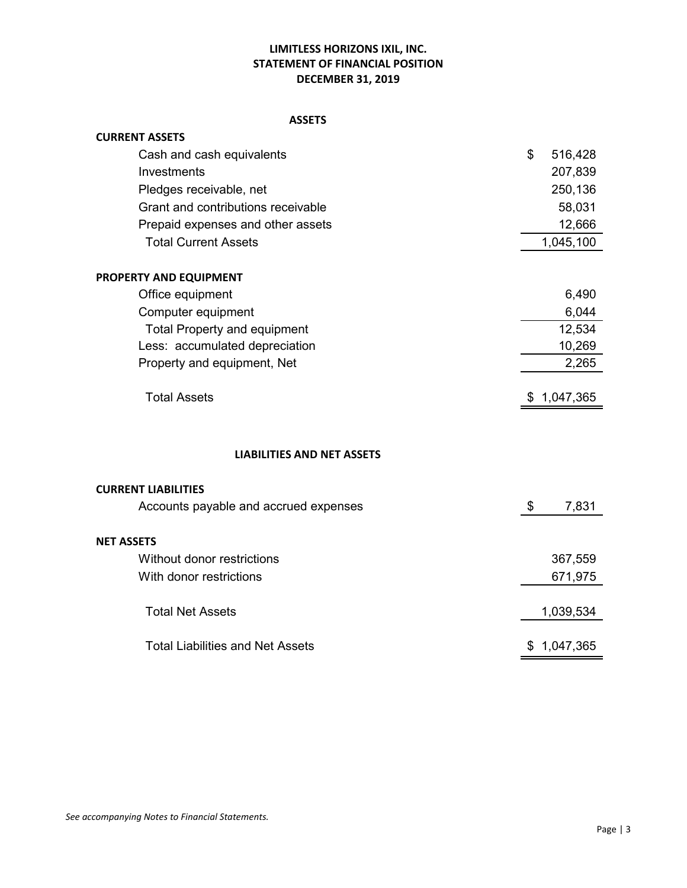# **LIMITLESS HORIZONS IXIL, INC. STATEMENT OF FINANCIAL POSITION DECEMBER 31, 2019**

## **ASSETS**

| <b>CURRENT ASSETS</b>                   |                 |
|-----------------------------------------|-----------------|
| Cash and cash equivalents               | \$<br>516,428   |
| Investments                             | 207,839         |
| Pledges receivable, net                 | 250,136         |
| Grant and contributions receivable      | 58,031          |
| Prepaid expenses and other assets       | 12,666          |
| <b>Total Current Assets</b>             | 1,045,100       |
| PROPERTY AND EQUIPMENT                  |                 |
| Office equipment                        | 6,490           |
| Computer equipment                      | 6,044           |
| <b>Total Property and equipment</b>     | 12,534          |
| Less: accumulated depreciation          | 10,269          |
| Property and equipment, Net             | 2,265           |
| <b>Total Assets</b>                     | \$<br>1,047,365 |
| <b>LIABILITIES AND NET ASSETS</b>       |                 |
| <b>CURRENT LIABILITIES</b>              |                 |
| Accounts payable and accrued expenses   | \$<br>7,831     |
| <b>NET ASSETS</b>                       |                 |
| Without donor restrictions              | 367,559         |
| With donor restrictions                 | 671,975         |
| <b>Total Net Assets</b>                 | 1,039,534       |
| <b>Total Liabilities and Net Assets</b> | \$1,047,365     |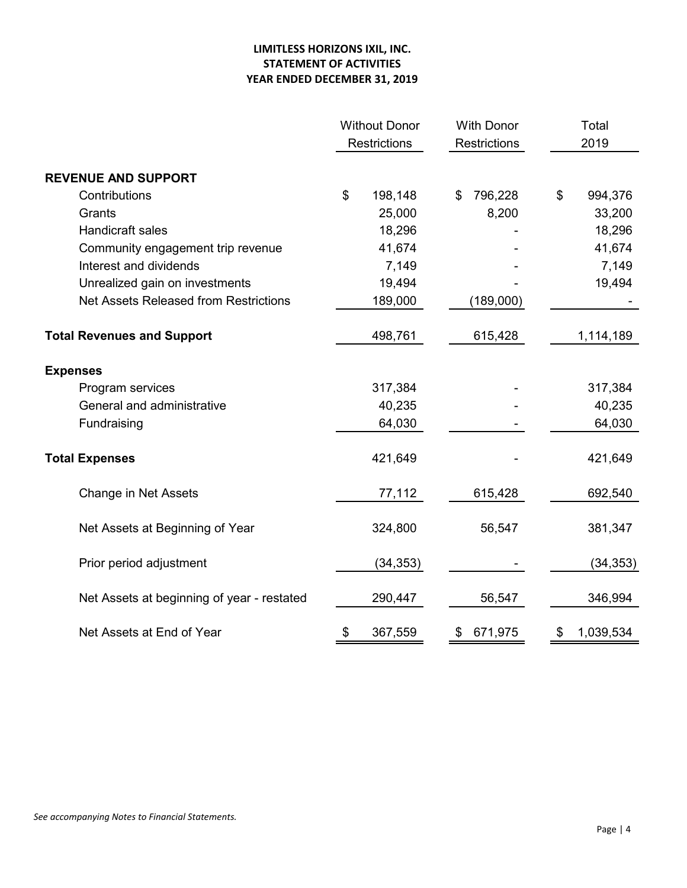# **LIMITLESS HORIZONS IXIL, INC. STATEMENT OF ACTIVITIES YEAR ENDED DECEMBER 31, 2019**

|                                              | <b>Without Donor</b> |           | <b>With Donor</b>   |  | Total |           |
|----------------------------------------------|----------------------|-----------|---------------------|--|-------|-----------|
|                                              | <b>Restrictions</b>  |           | <b>Restrictions</b> |  |       | 2019      |
| <b>REVENUE AND SUPPORT</b>                   |                      |           |                     |  |       |           |
| Contributions                                | \$                   | 198,148   | \$<br>796,228       |  | \$    | 994,376   |
| Grants                                       |                      | 25,000    | 8,200               |  |       | 33,200    |
| <b>Handicraft sales</b>                      |                      | 18,296    |                     |  |       | 18,296    |
| Community engagement trip revenue            |                      | 41,674    |                     |  |       | 41,674    |
| Interest and dividends                       |                      | 7,149     |                     |  |       | 7,149     |
| Unrealized gain on investments               |                      | 19,494    |                     |  |       | 19,494    |
| <b>Net Assets Released from Restrictions</b> |                      | 189,000   | (189,000)           |  |       |           |
| <b>Total Revenues and Support</b>            |                      | 498,761   | 615,428             |  |       | 1,114,189 |
| <b>Expenses</b>                              |                      |           |                     |  |       |           |
| Program services                             |                      | 317,384   |                     |  |       | 317,384   |
| General and administrative                   |                      | 40,235    |                     |  |       | 40,235    |
| Fundraising                                  |                      | 64,030    |                     |  |       | 64,030    |
| <b>Total Expenses</b>                        |                      | 421,649   |                     |  |       | 421,649   |
| <b>Change in Net Assets</b>                  |                      | 77,112    | 615,428             |  |       | 692,540   |
| Net Assets at Beginning of Year              |                      | 324,800   | 56,547              |  |       | 381,347   |
| Prior period adjustment                      |                      | (34, 353) |                     |  |       | (34, 353) |
| Net Assets at beginning of year - restated   |                      | 290,447   | 56,547              |  |       | 346,994   |
| Net Assets at End of Year                    | \$                   | 367,559   | \$<br>671,975       |  |       | 1,039,534 |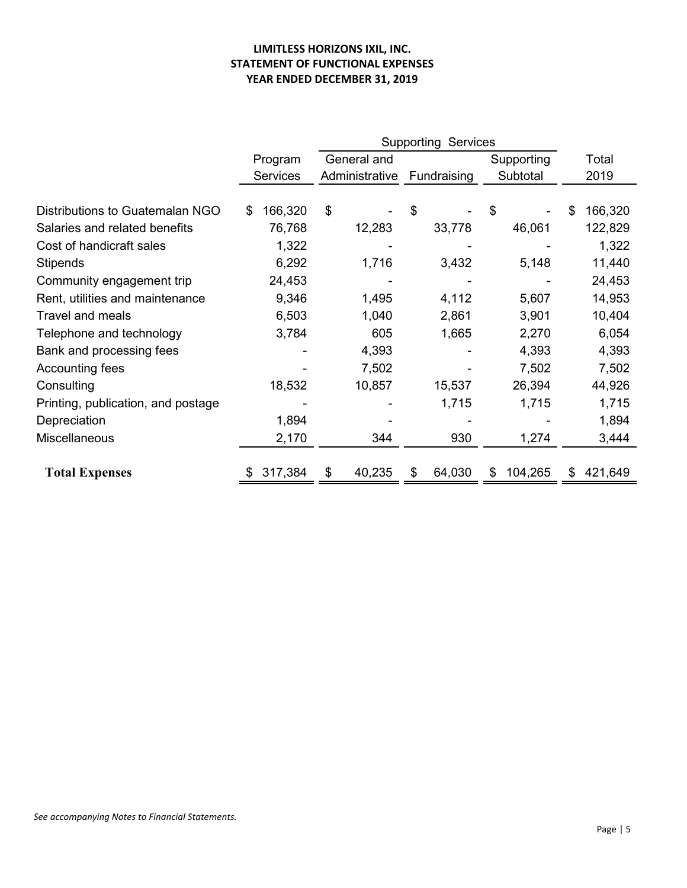# **LIMITLESS HORIZONS IXIL, INC. STATEMENT OF FUNCTIONAL EXPENSES YEAR ENDED DECEMBER 31, 2019**

|                                    | <b>Supporting Services</b> |                |              |               |               |
|------------------------------------|----------------------------|----------------|--------------|---------------|---------------|
|                                    | Program                    | General and    |              | Supporting    | Total         |
|                                    | <b>Services</b>            | Administrative | Fundraising  | Subtotal      | 2019          |
|                                    |                            |                |              |               |               |
| Distributions to Guatemalan NGO    | 166,320<br>\$              | \$             | \$           | \$            | 166,320<br>\$ |
| Salaries and related benefits      | 76,768                     | 12,283         | 33,778       | 46,061        | 122,829       |
| Cost of handicraft sales           | 1,322                      |                |              |               | 1,322         |
| <b>Stipends</b>                    | 6,292                      | 1,716          | 3,432        | 5,148         | 11,440        |
| Community engagement trip          | 24,453                     |                |              |               | 24,453        |
| Rent, utilities and maintenance    | 9,346                      | 1,495          | 4,112        | 5,607         | 14,953        |
| Travel and meals                   | 6,503                      | 1,040          | 2,861        | 3,901         | 10,404        |
| Telephone and technology           | 3,784                      | 605            | 1,665        | 2,270         | 6,054         |
| Bank and processing fees           |                            | 4,393          |              | 4,393         | 4,393         |
| Accounting fees                    |                            | 7,502          |              | 7,502         | 7,502         |
| Consulting                         | 18,532                     | 10,857         | 15,537       | 26,394        | 44,926        |
| Printing, publication, and postage |                            |                | 1,715        | 1,715         | 1,715         |
| Depreciation                       | 1,894                      |                |              |               | 1,894         |
| Miscellaneous                      | 2,170                      | 344            | 930          | 1,274         | 3,444         |
| <b>Total Expenses</b>              | 317,384<br>\$              | \$<br>40,235   | 64,030<br>\$ | 104,265<br>\$ | 421,649<br>\$ |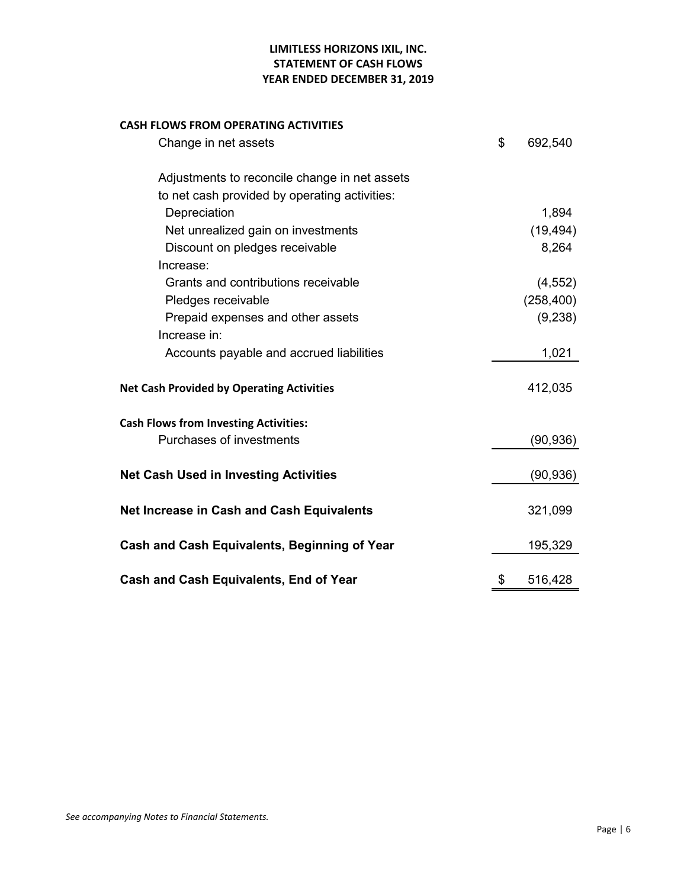# **LIMITLESS HORIZONS IXIL, INC. STATEMENT OF CASH FLOWS YEAR ENDED DECEMBER 31, 2019**

# **CASH FLOWS FROM OPERATING ACTIVITIES**

| Adjustments to reconcile change in net assets<br>to net cash provided by operating activities:<br>Depreciation<br>Net unrealized gain on investments<br>Discount on pledges receivable<br>Increase:<br>Grants and contributions receivable | 1,894<br>(19, 494)<br>8,264<br>(4, 552) |
|--------------------------------------------------------------------------------------------------------------------------------------------------------------------------------------------------------------------------------------------|-----------------------------------------|
|                                                                                                                                                                                                                                            |                                         |
|                                                                                                                                                                                                                                            |                                         |
|                                                                                                                                                                                                                                            |                                         |
|                                                                                                                                                                                                                                            |                                         |
|                                                                                                                                                                                                                                            |                                         |
|                                                                                                                                                                                                                                            |                                         |
|                                                                                                                                                                                                                                            |                                         |
| Pledges receivable                                                                                                                                                                                                                         | (258, 400)                              |
| Prepaid expenses and other assets                                                                                                                                                                                                          | (9,238)                                 |
| Increase in:                                                                                                                                                                                                                               |                                         |
| Accounts payable and accrued liabilities                                                                                                                                                                                                   | 1,021                                   |
| <b>Net Cash Provided by Operating Activities</b>                                                                                                                                                                                           | 412,035                                 |
| <b>Cash Flows from Investing Activities:</b>                                                                                                                                                                                               |                                         |
| Purchases of investments                                                                                                                                                                                                                   | (90, 936)                               |
| <b>Net Cash Used in Investing Activities</b>                                                                                                                                                                                               | (90, 936)                               |
| Net Increase in Cash and Cash Equivalents                                                                                                                                                                                                  | 321,099                                 |
| Cash and Cash Equivalents, Beginning of Year                                                                                                                                                                                               | 195,329                                 |
| Cash and Cash Equivalents, End of Year                                                                                                                                                                                                     | \$<br>516,428                           |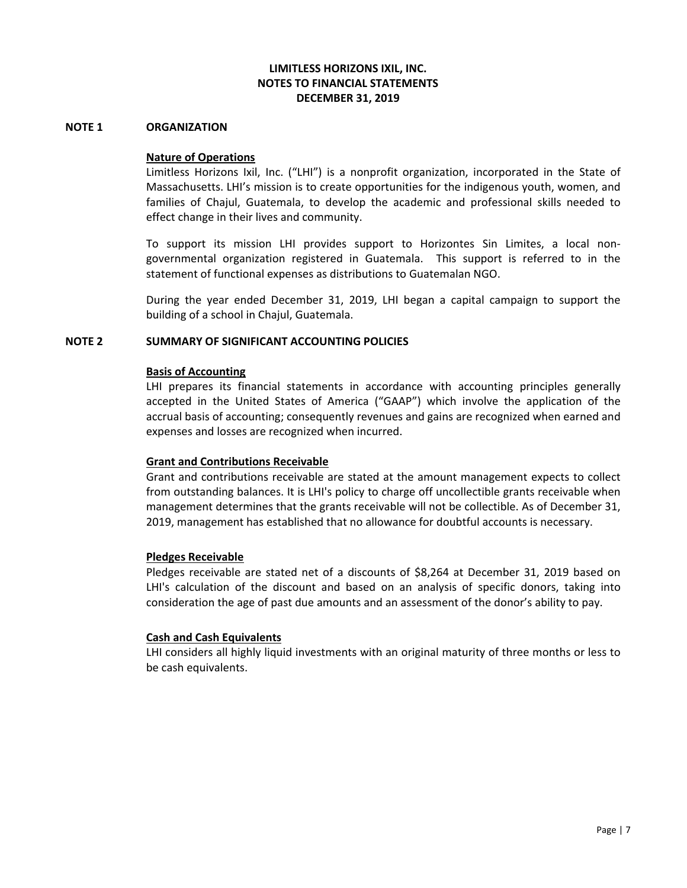#### **NOTE 1 ORGANIZATION**

#### **Nature of Operations**

Limitless Horizons Ixil, Inc. ("LHI") is a nonprofit organization, incorporated in the State of Massachusetts. LHI's mission is to create opportunities for the indigenous youth, women, and families of Chajul, Guatemala, to develop the academic and professional skills needed to effect change in their lives and community.

To support its mission LHI provides support to Horizontes Sin Limites, a local non‐ governmental organization registered in Guatemala. This support is referred to in the statement of functional expenses as distributions to Guatemalan NGO.

During the year ended December 31, 2019, LHI began a capital campaign to support the building of a school in Chajul, Guatemala.

#### **NOTE 2 SUMMARY OF SIGNIFICANT ACCOUNTING POLICIES**

#### **Basis of Accounting**

LHI prepares its financial statements in accordance with accounting principles generally accepted in the United States of America ("GAAP") which involve the application of the accrual basis of accounting; consequently revenues and gains are recognized when earned and expenses and losses are recognized when incurred.

#### **Grant and Contributions Receivable**

Grant and contributions receivable are stated at the amount management expects to collect from outstanding balances. It is LHI's policy to charge off uncollectible grants receivable when management determines that the grants receivable will not be collectible. As of December 31, 2019, management has established that no allowance for doubtful accounts is necessary.

#### **Pledges Receivable**

Pledges receivable are stated net of a discounts of \$8,264 at December 31, 2019 based on LHI's calculation of the discount and based on an analysis of specific donors, taking into consideration the age of past due amounts and an assessment of the donor's ability to pay.

#### **Cash and Cash Equivalents**

LHI considers all highly liquid investments with an original maturity of three months or less to be cash equivalents.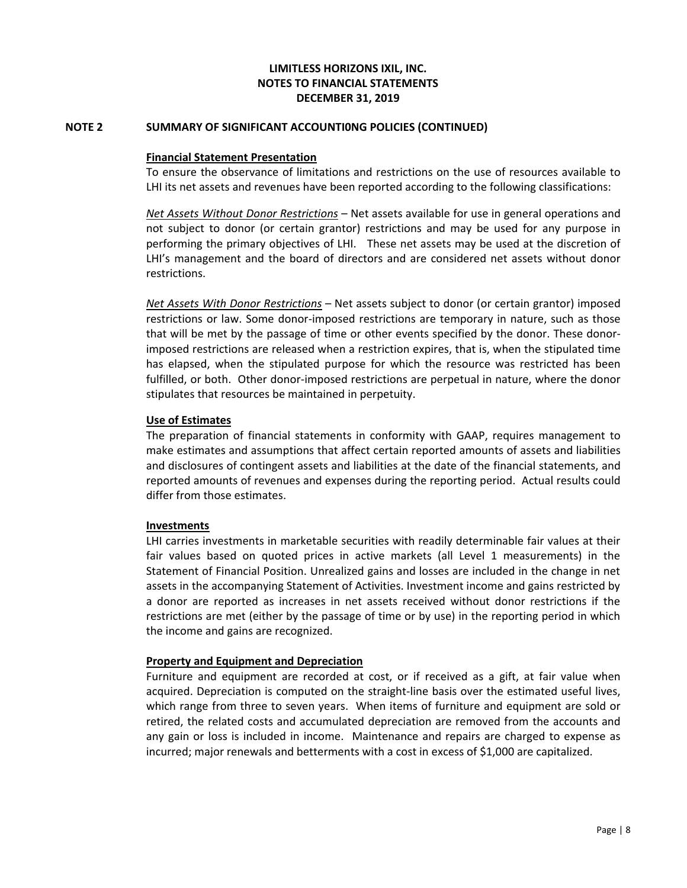## **NOTE 2 SUMMARY OF SIGNIFICANT ACCOUNTI0NG POLICIES (CONTINUED)**

## **Financial Statement Presentation**

To ensure the observance of limitations and restrictions on the use of resources available to LHI its net assets and revenues have been reported according to the following classifications:

 *Net Assets Without Donor Restrictions* – Net assets available for use in general operations and not subject to donor (or certain grantor) restrictions and may be used for any purpose in performing the primary objectives of LHI. These net assets may be used at the discretion of LHI's management and the board of directors and are considered net assets without donor restrictions.

*Net Assets With Donor Restrictions* – Net assets subject to donor (or certain grantor) imposed restrictions or law. Some donor‐imposed restrictions are temporary in nature, such as those that will be met by the passage of time or other events specified by the donor. These donor‐ imposed restrictions are released when a restriction expires, that is, when the stipulated time has elapsed, when the stipulated purpose for which the resource was restricted has been fulfilled, or both. Other donor‐imposed restrictions are perpetual in nature, where the donor stipulates that resources be maintained in perpetuity.

# **Use of Estimates**

The preparation of financial statements in conformity with GAAP, requires management to make estimates and assumptions that affect certain reported amounts of assets and liabilities and disclosures of contingent assets and liabilities at the date of the financial statements, and reported amounts of revenues and expenses during the reporting period. Actual results could differ from those estimates.

#### **Investments**

LHI carries investments in marketable securities with readily determinable fair values at their fair values based on quoted prices in active markets (all Level 1 measurements) in the Statement of Financial Position. Unrealized gains and losses are included in the change in net assets in the accompanying Statement of Activities. Investment income and gains restricted by a donor are reported as increases in net assets received without donor restrictions if the restrictions are met (either by the passage of time or by use) in the reporting period in which the income and gains are recognized.

# **Property and Equipment and Depreciation**

Furniture and equipment are recorded at cost, or if received as a gift, at fair value when acquired. Depreciation is computed on the straight‐line basis over the estimated useful lives, which range from three to seven years. When items of furniture and equipment are sold or retired, the related costs and accumulated depreciation are removed from the accounts and any gain or loss is included in income. Maintenance and repairs are charged to expense as incurred; major renewals and betterments with a cost in excess of \$1,000 are capitalized.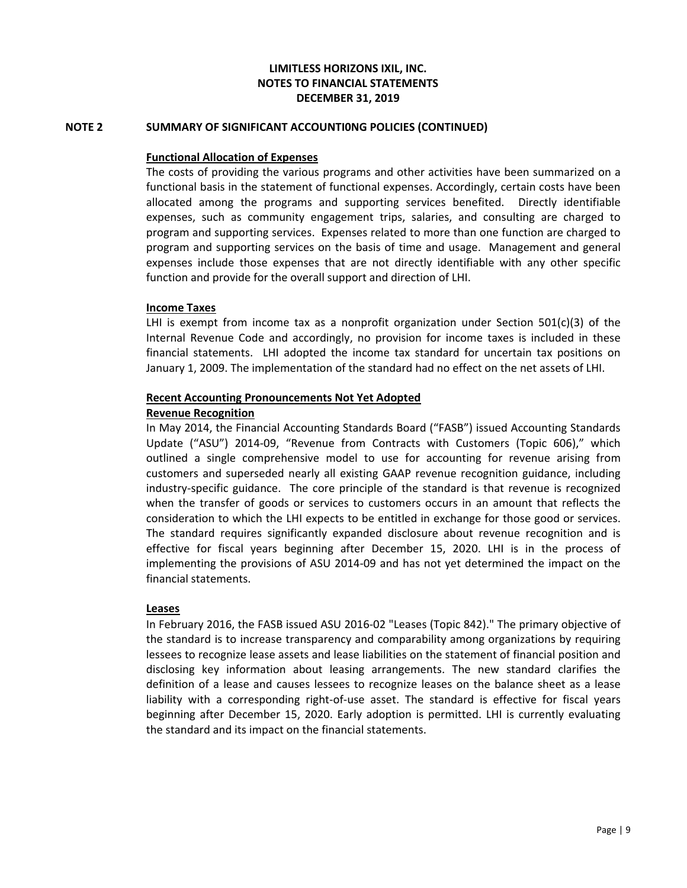## **NOTE 2 SUMMARY OF SIGNIFICANT ACCOUNTI0NG POLICIES (CONTINUED)**

## **Functional Allocation of Expenses**

The costs of providing the various programs and other activities have been summarized on a functional basis in the statement of functional expenses. Accordingly, certain costs have been allocated among the programs and supporting services benefited. Directly identifiable expenses, such as community engagement trips, salaries, and consulting are charged to program and supporting services. Expenses related to more than one function are charged to program and supporting services on the basis of time and usage. Management and general expenses include those expenses that are not directly identifiable with any other specific function and provide for the overall support and direction of LHI.

# **Income Taxes**

LHI is exempt from income tax as a nonprofit organization under Section  $501(c)(3)$  of the Internal Revenue Code and accordingly, no provision for income taxes is included in these financial statements. LHI adopted the income tax standard for uncertain tax positions on January 1, 2009. The implementation of the standard had no effect on the net assets of LHI.

## **Recent Accounting Pronouncements Not Yet Adopted**

# **Revenue Recognition**

 In May 2014, the Financial Accounting Standards Board ("FASB") issued Accounting Standards Update ("ASU") 2014‐09, "Revenue from Contracts with Customers (Topic 606)," which outlined a single comprehensive model to use for accounting for revenue arising from customers and superseded nearly all existing GAAP revenue recognition guidance, including industry‐specific guidance. The core principle of the standard is that revenue is recognized when the transfer of goods or services to customers occurs in an amount that reflects the consideration to which the LHI expects to be entitled in exchange for those good or services. The standard requires significantly expanded disclosure about revenue recognition and is effective for fiscal years beginning after December 15, 2020. LHI is in the process of implementing the provisions of ASU 2014‐09 and has not yet determined the impact on the financial statements.

#### **Leases**

In February 2016, the FASB issued ASU 2016‐02 "Leases (Topic 842)." The primary objective of the standard is to increase transparency and comparability among organizations by requiring lessees to recognize lease assets and lease liabilities on the statement of financial position and disclosing key information about leasing arrangements. The new standard clarifies the definition of a lease and causes lessees to recognize leases on the balance sheet as a lease liability with a corresponding right-of-use asset. The standard is effective for fiscal years beginning after December 15, 2020. Early adoption is permitted. LHI is currently evaluating the standard and its impact on the financial statements.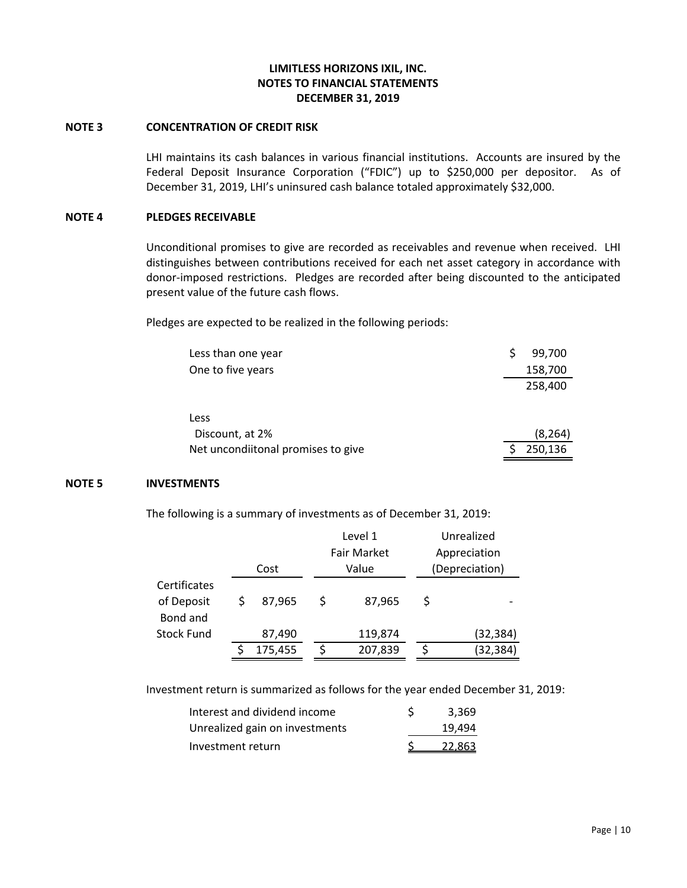#### **NOTE 3 CONCENTRATION OF CREDIT RISK**

LHI maintains its cash balances in various financial institutions. Accounts are insured by the Federal Deposit Insurance Corporation ("FDIC") up to \$250,000 per depositor. As of December 31, 2019, LHI's uninsured cash balance totaled approximately \$32,000.

## **NOTE 4 PLEDGES RECEIVABLE**

Unconditional promises to give are recorded as receivables and revenue when received. LHI distinguishes between contributions received for each net asset category in accordance with donor‐imposed restrictions. Pledges are recorded after being discounted to the anticipated present value of the future cash flows.

Pledges are expected to be realized in the following periods:

| Less than one year                 | 99,700   |
|------------------------------------|----------|
| One to five years                  | 158,700  |
|                                    | 258,400  |
|                                    |          |
| Less                               |          |
| Discount, at 2%                    | (8, 264) |
| Net uncondiitonal promises to give | 250,136  |

## **NOTE 5 INVESTMENTS**

The following is a summary of investments as of December 31, 2019:

|                                        |         |    | Level 1            | Unrealized     |
|----------------------------------------|---------|----|--------------------|----------------|
|                                        |         |    | <b>Fair Market</b> | Appreciation   |
|                                        | Cost    |    | Value              | (Depreciation) |
| Certificates<br>of Deposit<br>Bond and | 87,965  | S. | 87,965             |                |
| Stock Fund                             | 87,490  |    | 119,874            | (32, 384)      |
|                                        | 175,455 |    | 207,839            | (32, 384)      |

Investment return is summarized as follows for the year ended December 31, 2019:

| Interest and dividend income   | 3.369  |
|--------------------------------|--------|
| Unrealized gain on investments | 19,494 |
| Investment return              | 22,863 |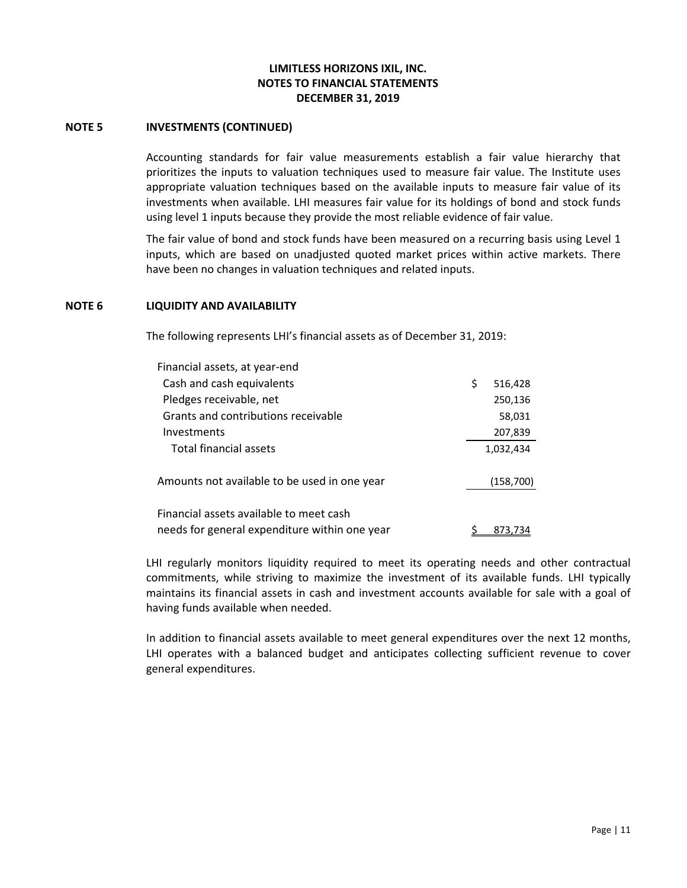#### **NOTE 5 INVESTMENTS (CONTINUED)**

Accounting standards for fair value measurements establish a fair value hierarchy that prioritizes the inputs to valuation techniques used to measure fair value. The Institute uses appropriate valuation techniques based on the available inputs to measure fair value of its investments when available. LHI measures fair value for its holdings of bond and stock funds using level 1 inputs because they provide the most reliable evidence of fair value.

The fair value of bond and stock funds have been measured on a recurring basis using Level 1 inputs, which are based on unadjusted quoted market prices within active markets. There have been no changes in valuation techniques and related inputs.

#### **NOTE 6 LIQUIDITY AND AVAILABILITY**

The following represents LHI's financial assets as of December 31, 2019:

| Financial assets, at year-end                 |               |
|-----------------------------------------------|---------------|
| Cash and cash equivalents                     | \$<br>516,428 |
| Pledges receivable, net                       | 250,136       |
| Grants and contributions receivable           | 58,031        |
| Investments                                   | 207,839       |
| Total financial assets                        | 1,032,434     |
| Amounts not available to be used in one year  | (158, 700)    |
| Financial assets available to meet cash       |               |
| needs for general expenditure within one year |               |

LHI regularly monitors liquidity required to meet its operating needs and other contractual commitments, while striving to maximize the investment of its available funds. LHI typically maintains its financial assets in cash and investment accounts available for sale with a goal of having funds available when needed.

In addition to financial assets available to meet general expenditures over the next 12 months, LHI operates with a balanced budget and anticipates collecting sufficient revenue to cover general expenditures.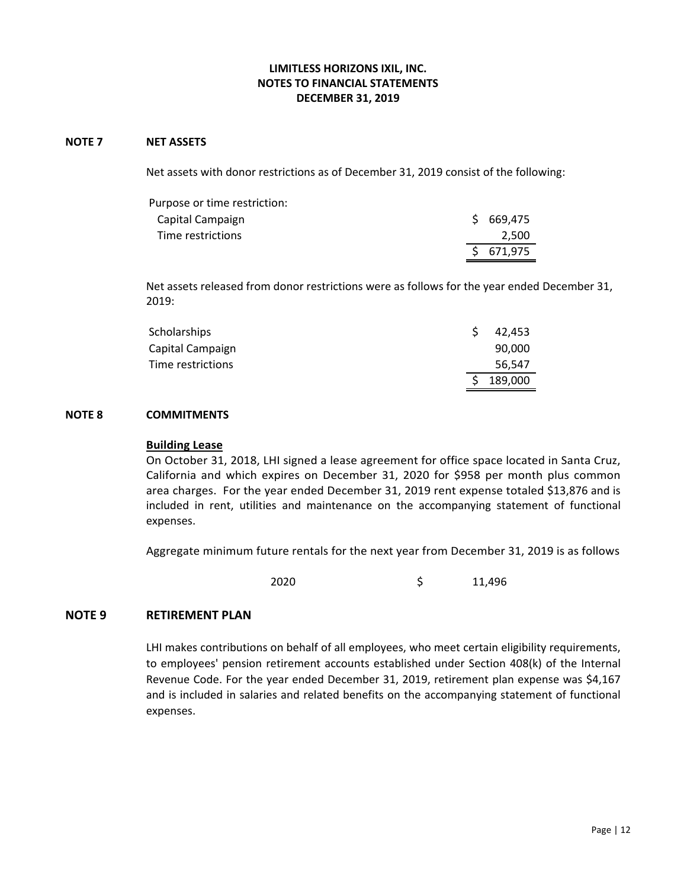### **NOTE 7 NET ASSETS**

Net assets with donor restrictions as of December 31, 2019 consist of the following:

| Purpose or time restriction: |           |
|------------------------------|-----------|
| Capital Campaign             | \$669,475 |
| Time restrictions            | 2,500     |
|                              | \$671,975 |
|                              |           |

Net assets released from donor restrictions were as follows for the year ended December 31, 2019:

| <b>Scholarships</b> | 42.453    |
|---------------------|-----------|
| Capital Campaign    | 90.000    |
| Time restrictions   | 56.547    |
|                     | \$189,000 |

#### **NOTE 8 NOTE 8 COMMITMENTS**

#### **Building Lease**

On October 31, 2018, LHI signed a lease agreement for office space located in Santa Cruz, California and which expires on December 31, 2020 for \$958 per month plus common area charges. For the year ended December 31, 2019 rent expense totaled \$13,876 and is included in rent, utilities and maintenance on the accompanying statement of functional expenses.

Aggregate minimum future rentals for the next year from December 31, 2019 is as follows

 2020 11,496 \$

## **NOTE 9 RETIREMENT PLAN**

LHI makes contributions on behalf of all employees, who meet certain eligibility requirements, to employees' pension retirement accounts established under Section 408(k) of the Internal Revenue Code. For the year ended December 31, 2019, retirement plan expense was \$4,167 and is included in salaries and related benefits on the accompanying statement of functional expenses.